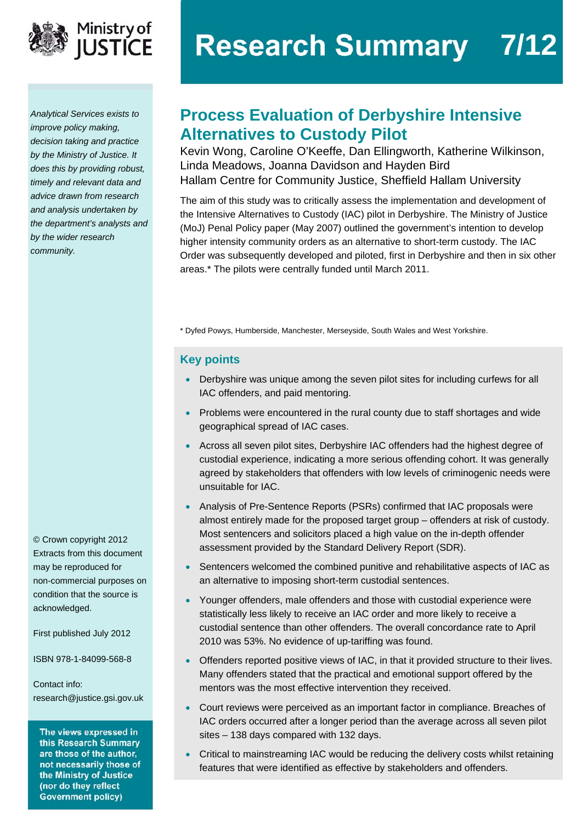

*Analytical Services exists to improve policy making, decision taking and practice by the Ministry of Justice. It does this by providing robust, timely and relevant data and advice drawn from research and analysis undertaken by the department's analysts and by the wider research community.* 

© Crown copyright 2012 Extracts from this document may be reproduced for non-commercial purposes on condition that the source is acknowledged.

First published July 2012

ISBN 978-1-84099-568-8

Contact info: [research@justice.gsi.gov.uk](mailto:research@justice.gsi.gov.uk) 

The views expressed in this Research Summary are those of the author, not necessarily those of the Ministry of Justice (nor do they reflect **Government policy)** 

# **Research Summary 7/12**

## **Process Evaluation of Derbyshire Intensive Alternatives to Custody Pilot**

Kevin Wong, Caroline O'Keeffe, Dan Ellingworth, Katherine Wilkinson, Linda Meadows, Joanna Davidson and Hayden Bird Hallam Centre for Community Justice, Sheffield Hallam University

The aim of this study was to critically assess the implementation and development of the Intensive Alternatives to Custody (IAC) pilot in Derbyshire. The Ministry of Justice (MoJ) Penal Policy paper (May 2007) outlined the government's intention to develop higher intensity community orders as an alternative to short-term custody. The IAC Order was subsequently developed and piloted, first in Derbyshire and then in six other areas.\* The pilots were centrally funded until March 2011.

\* Dyfed Powys, Humberside, Manchester, Merseyside, South Wales and West Yorkshire.

#### **Key points**

- Derbyshire was unique among the seven pilot sites for including curfews for all IAC offenders, and paid mentoring.
- Problems were encountered in the rural county due to staff shortages and wide geographical spread of IAC cases.
- Across all seven pilot sites, Derbyshire IAC offenders had the highest degree of custodial experience, indicating a more serious offending cohort. It was generally agreed by stakeholders that offenders with low levels of criminogenic needs were unsuitable for IAC.
- Analysis of Pre-Sentence Reports (PSRs) confirmed that IAC proposals were almost entirely made for the proposed target group – offenders at risk of custody. Most sentencers and solicitors placed a high value on the in-depth offender assessment provided by the Standard Delivery Report (SDR).
- Sentencers welcomed the combined punitive and rehabilitative aspects of IAC as an alternative to imposing short-term custodial sentences.
- Younger offenders, male offenders and those with custodial experience were statistically less likely to receive an IAC order and more likely to receive a custodial sentence than other offenders. The overall concordance rate to April 2010 was 53%. No evidence of up-tariffing was found.
- Offenders reported positive views of IAC, in that it provided structure to their lives. Many offenders stated that the practical and emotional support offered by the mentors was the most effective intervention they received.
- Court reviews were perceived as an important factor in compliance. Breaches of IAC orders occurred after a longer period than the average across all seven pilot sites – 138 days compared with 132 days.
- Critical to mainstreaming IAC would be reducing the delivery costs whilst retaining features that were identified as effective by stakeholders and offenders.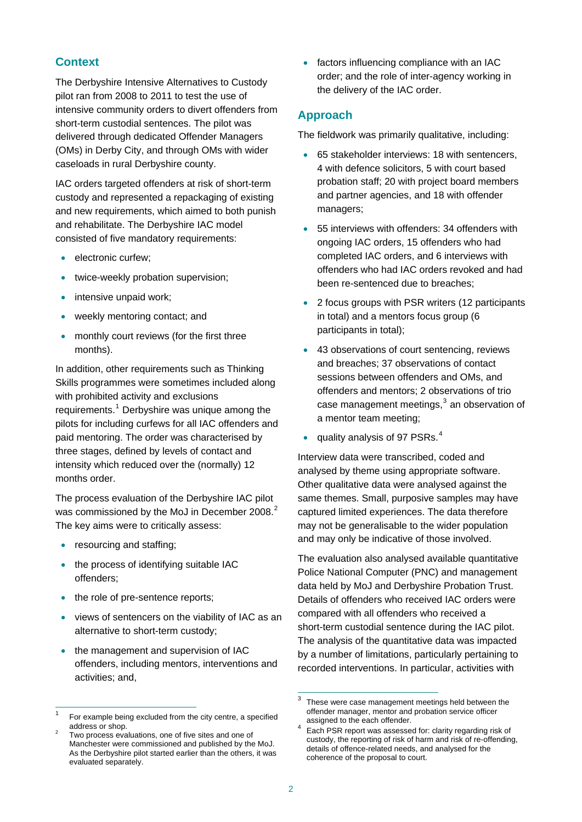#### **Context**

The Derbyshire Intensive Alternatives to Custody pilot ran from 2008 to 2011 to test the use of intensive community orders to divert offenders from short-term custodial sentences. The pilot was delivered through dedicated Offender Managers (OMs) in Derby City, and through OMs with wider caseloads in rural Derbyshire county.

IAC orders targeted offenders at risk of short-term custody and represented a repackaging of existing and new requirements, which aimed to both punish and rehabilitate. The Derbyshire IAC model consisted of five mandatory requirements:

- **e** electronic curfew;
- twice-weekly probation supervision;
- intensive unpaid work;
- weekly mentoring contact; and
- monthly court reviews (for the first three months).

In addition, other requirements such as Thinking Skills programmes were sometimes included along with prohibited activity and exclusions requirements.<sup>[1](#page-1-0)</sup> Derbyshire was unique among the pilots for including curfews for all IAC offenders and paid mentoring. The order was characterised by three stages, defined by levels of contact and intensity which reduced over the (normally) 12 months order.

The process evaluation of the Derbyshire IAC pilot was commissioned by the MoJ in December [2](#page-1-1)008.<sup>2</sup> The key aims were to critically assess:

resourcing and staffing;

<span id="page-1-2"></span> $\overline{a}$ 

- the process of identifying suitable IAC offenders;
- the role of pre-sentence reports;
- views of sentencers on the viability of IAC as an alternative to short-term custody;
- the management and supervision of IAC offenders, including mentors, interventions and activities; and,

• factors influencing compliance with an IAC order; and the role of inter-agency working in the delivery of the IAC order.

#### **Approach**

The fieldwork was primarily qualitative, including:

- 65 stakeholder interviews: 18 with sentencers, 4 with defence solicitors, 5 with court based probation staff; 20 with project board members and partner agencies, and 18 with offender managers;
- 55 interviews with offenders: 34 offenders with ongoing IAC orders, 15 offenders who had completed IAC orders, and 6 interviews with offenders who had IAC orders revoked and had been re-sentenced due to breaches;
- 2 focus groups with PSR writers (12 participants in total) and a mentors focus group (6 participants in total);
- 43 observations of court sentencing, reviews and breaches; 37 observations of contact sessions between offenders and OMs, and offenders and mentors; 2 observations of trio case management meetings,<sup>[3](#page-1-2)</sup> an observation of a mentor team meeting;
- quality analysis of 97 PSRs. $<sup>4</sup>$  $<sup>4</sup>$  $<sup>4</sup>$ </sup>

Interview data were transcribed, coded and analysed by theme using appropriate software. Other qualitative data were analysed against the same themes. Small, purposive samples may have captured limited experiences. The data therefore may not be generalisable to the wider population and may only be indicative of those involved.

The evaluation also analysed available quantitative Police National Computer (PNC) and management data held by MoJ and Derbyshire Probation Trust. Details of offenders who received IAC orders were compared with all offenders who received a short-term custodial sentence during the IAC pilot. The analysis of the quantitative data was impacted by a number of limitations, particularly pertaining to recorded interventions. In particular, activities with

<span id="page-1-0"></span><sup>1</sup> For example being excluded from the city centre, a specified address or shop.

<span id="page-1-3"></span><span id="page-1-1"></span>Two process evaluations, one of five sites and one of Manchester were commissioned and published by the MoJ. As the Derbyshire pilot started earlier than the others, it was evaluated separately.

 3 These were case management meetings held between the offender manager, mentor and probation service officer assigned to the each offender.

Each PSR report was assessed for: clarity regarding risk of custody, the reporting of risk of harm and risk of re-offending, details of offence-related needs, and analysed for the coherence of the proposal to court.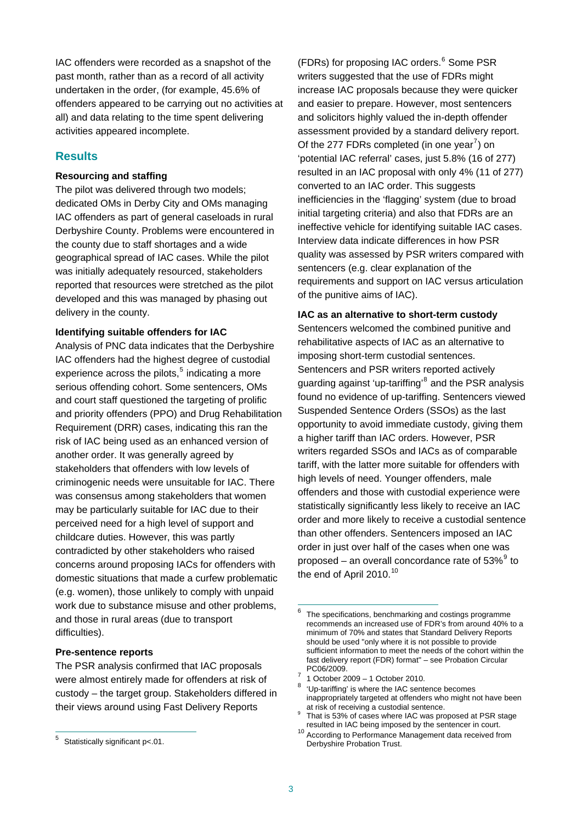IAC offenders were recorded as a snapshot of the past month, rather than as a record of all activity undertaken in the order, (for example, 45.6% of offenders appeared to be carrying out no activities at all) and data relating to the time spent delivering activities appeared incomplete.

#### **Results**

#### **Resourcing and staffing**

The pilot was delivered through two models; dedicated OMs in Derby City and OMs managing IAC offenders as part of general caseloads in rural Derbyshire County. Problems were encountered in the county due to staff shortages and a wide geographical spread of IAC cases. While the pilot was initially adequately resourced, stakeholders reported that resources were stretched as the pilot developed and this was managed by phasing out delivery in the county.

#### **Identifying suitable offenders for IAC**

Analysis of PNC data indicates that the Derbyshire IAC offenders had the highest degree of custodial experience across the pilots, $5$  indicating a more serious offending cohort. Some sentencers, OMs and court staff questioned the targeting of prolific and priority offenders (PPO) and Drug Rehabilitation Requirement (DRR) cases, indicating this ran the risk of IAC being used as an enhanced version of another order. It was generally agreed by stakeholders that offenders with low levels of criminogenic needs were unsuitable for IAC. There was consensus among stakeholders that women may be particularly suitable for IAC due to their perceived need for a high level of support and childcare duties. However, this was partly contradicted by other stakeholders who raised concerns around proposing IACs for offenders with domestic situations that made a curfew problematic (e.g. women), those unlikely to comply with unpaid work due to substance misuse and other problems, and those in rural areas (due to transport difficulties).

#### <span id="page-2-1"></span>**Pre-sentence reports**

<span id="page-2-3"></span><span id="page-2-2"></span>The PSR analysis confirmed that IAC proposals were almost entirely made for offenders at risk of custody – the target group. Stakeholders differed in their views around using Fast Delivery Reports

<span id="page-2-4"></span> $\overline{a}$ 

(FDRs) for proposing IAC orders.<sup>[6](#page-2-1)</sup> Some PSR writers suggested that the use of FDRs might increase IAC proposals because they were quicker and easier to prepare. However, most sentencers and solicitors highly valued the in-depth offender assessment provided by a standard delivery report. Of the 2[7](#page-2-2)7 FDRs completed (in one year<sup>7</sup>) on 'potential IAC referral' cases, just 5.8% (16 of 277) resulted in an IAC proposal with only 4% (11 of 277) converted to an IAC order. This suggests inefficiencies in the 'flagging' system (due to broad initial targeting criteria) and also that FDRs are an ineffective vehicle for identifying suitable IAC cases. Interview data indicate differences in how PSR quality was assessed by PSR writers compared with sentencers (e.g. clear explanation of the requirements and support on IAC versus articulation of the punitive aims of IAC).

#### **IAC as an alternative to short-term custody**

Sentencers welcomed the combined punitive and rehabilitative aspects of IAC as an alternative to imposing short-term custodial sentences. Sentencers and PSR writers reported actively guarding against 'up-tariffing'<sup>[8](#page-2-3)</sup> and the PSR analysis found no evidence of up-tariffing. Sentencers viewed Suspended Sentence Orders (SSOs) as the last opportunity to avoid immediate custody, giving them a higher tariff than IAC orders. However, PSR writers regarded SSOs and IACs as of comparable tariff, with the latter more suitable for offenders with high levels of need. Younger offenders, male offenders and those with custodial experience were statistically significantly less likely to receive an IAC order and more likely to receive a custodial sentence than other offenders. Sentencers imposed an IAC order in just over half of the cases when one was proposed – an overall concordance rate of  $53\%$ <sup>[9](#page-2-4)</sup> to the end of April 20[10](#page-2-5).<sup>10</sup>

<span id="page-2-5"></span><span id="page-2-0"></span><sup>5</sup> Statistically significant p<.01.

 $\frac{1}{6}$  The specifications, benchmarking and costings programme recommends an increased use of FDR's from around 40% to a minimum of 70% and states that Standard Delivery Reports should be used "only where it is not possible to provide sufficient information to meet the needs of the cohort within the fast delivery report (FDR) format" – see Probation Circular PC06/2009.

 <sup>1</sup> October 2009 – 1 October 2010.

<sup>&</sup>lt;sup>8</sup> 'Up-tariffing' is where the IAC sentence becomes inappropriately targeted at offenders who might not have been at risk of receiving a custodial sentence.

That is 53% of cases where IAC was proposed at PSR stage

resulted in IAC being imposed by the sentencer in court. 10 According to Performance Management data received from Derbyshire Probation Trust.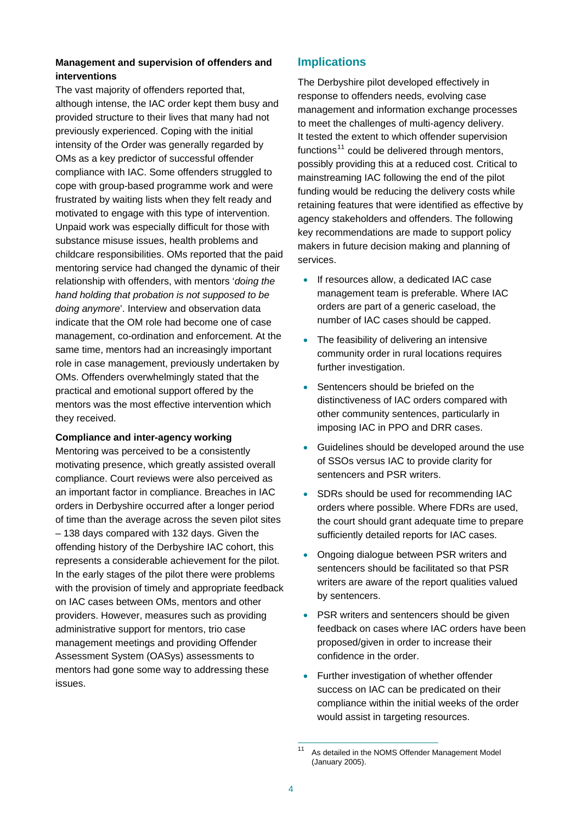#### **Management and supervision of offenders and interventions**

The vast majority of offenders reported that, although intense, the IAC order kept them busy and provided structure to their lives that many had not previously experienced. Coping with the initial intensity of the Order was generally regarded by OMs as a key predictor of successful offender compliance with IAC. Some offenders struggled to cope with group-based programme work and were frustrated by waiting lists when they felt ready and motivated to engage with this type of intervention. Unpaid work was especially difficult for those with substance misuse issues, health problems and childcare responsibilities. OMs reported that the paid mentoring service had changed the dynamic of their relationship with offenders, with mentors '*doing the hand holding that probation is not supposed to be doing anymore*'. Interview and observation data indicate that the OM role had become one of case management, co-ordination and enforcement. At the same time, mentors had an increasingly important role in case management, previously undertaken by OMs. Offenders overwhelmingly stated that the practical and emotional support offered by the mentors was the most effective intervention which they received.

#### **Compliance and inter-agency working**

Mentoring was perceived to be a consistently motivating presence, which greatly assisted overall compliance. Court reviews were also perceived as an important factor in compliance. Breaches in IAC orders in Derbyshire occurred after a longer period of time than the average across the seven pilot sites – 138 days compared with 132 days. Given the offending history of the Derbyshire IAC cohort, this represents a considerable achievement for the pilot. In the early stages of the pilot there were problems with the provision of timely and appropriate feedback on IAC cases between OMs, mentors and other providers. However, measures such as providing administrative support for mentors, trio case management meetings and providing Offender Assessment System (OASys) assessments to mentors had gone some way to addressing these issues.

#### **Implications**

The Derbyshire pilot developed effectively in response to offenders needs, evolving case management and information exchange processes to meet the challenges of multi-agency delivery. It tested the extent to which offender supervision functions $11$  could be delivered through mentors, possibly providing this at a reduced cost. Critical to mainstreaming IAC following the end of the pilot funding would be reducing the delivery costs while retaining features that were identified as effective by agency stakeholders and offenders. The following key recommendations are made to support policy makers in future decision making and planning of services.

- If resources allow, a dedicated IAC case management team is preferable. Where IAC orders are part of a generic caseload, the number of IAC cases should be capped.
- The feasibility of delivering an intensive community order in rural locations requires further investigation.
- Sentencers should be briefed on the distinctiveness of IAC orders compared with other community sentences, particularly in imposing IAC in PPO and DRR cases.
- Guidelines should be developed around the use of SSOs versus IAC to provide clarity for sentencers and PSR writers.
- SDRs should be used for recommending IAC orders where possible. Where FDRs are used, the court should grant adequate time to prepare sufficiently detailed reports for IAC cases.
- Ongoing dialogue between PSR writers and sentencers should be facilitated so that PSR writers are aware of the report qualities valued by sentencers.
- PSR writers and sentencers should be given feedback on cases where IAC orders have been proposed/given in order to increase their confidence in the order.
- Further investigation of whether offender success on IAC can be predicated on their compliance within the initial weeks of the order would assist in targeting resources.

<span id="page-3-0"></span> $\overline{11}$ As detailed in the NOMS Offender Management Model (January 2005).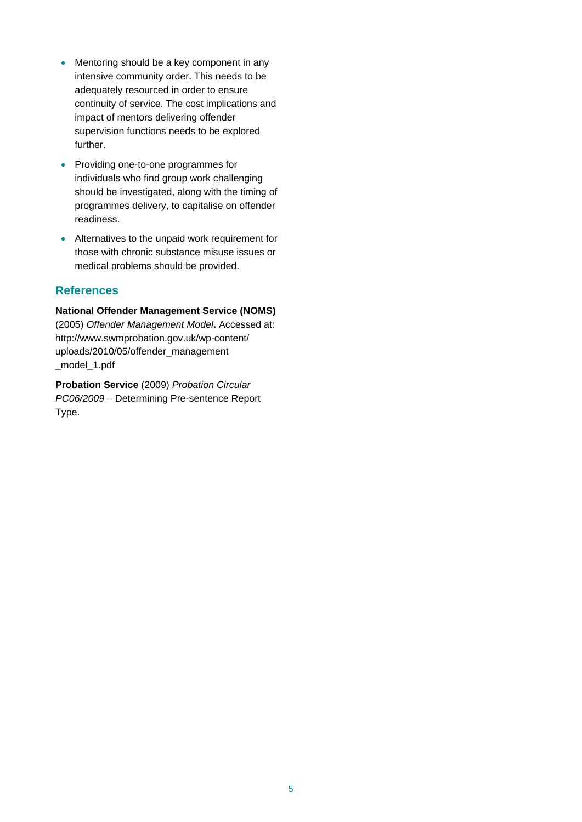- Mentoring should be a key component in any intensive community order. This needs to be adequately resourced in order to ensure continuity of service. The cost implications and impact of mentors delivering offender supervision functions needs to be explored further.
- Providing one-to-one programmes for individuals who find group work challenging should be investigated, along with the timing of programmes delivery, to capitalise on offender readiness.
- Alternatives to the unpaid work requirement for those with chronic substance misuse issues or medical problems should be provided.

#### **References**

**National Offender Management Service (NOMS)**  (2005) *Offender Management Model***.** Accessed at: [http://www.swmprobation.gov.uk/wp-content/](http://www.swmprobation.gov.uk/wp-content/%0Buploads/2010/05/offender_management%0B_model_1.pdf)  [uploads/2010/05/offender\\_management](http://www.swmprobation.gov.uk/wp-content/%0Buploads/2010/05/offender_management%0B_model_1.pdf)  [\\_model\\_1.pdf](http://www.swmprobation.gov.uk/wp-content/%0Buploads/2010/05/offender_management%0B_model_1.pdf) 

**Probation Service** (2009) *Probation Circular PC06/2009* – Determining Pre-sentence Report Type.